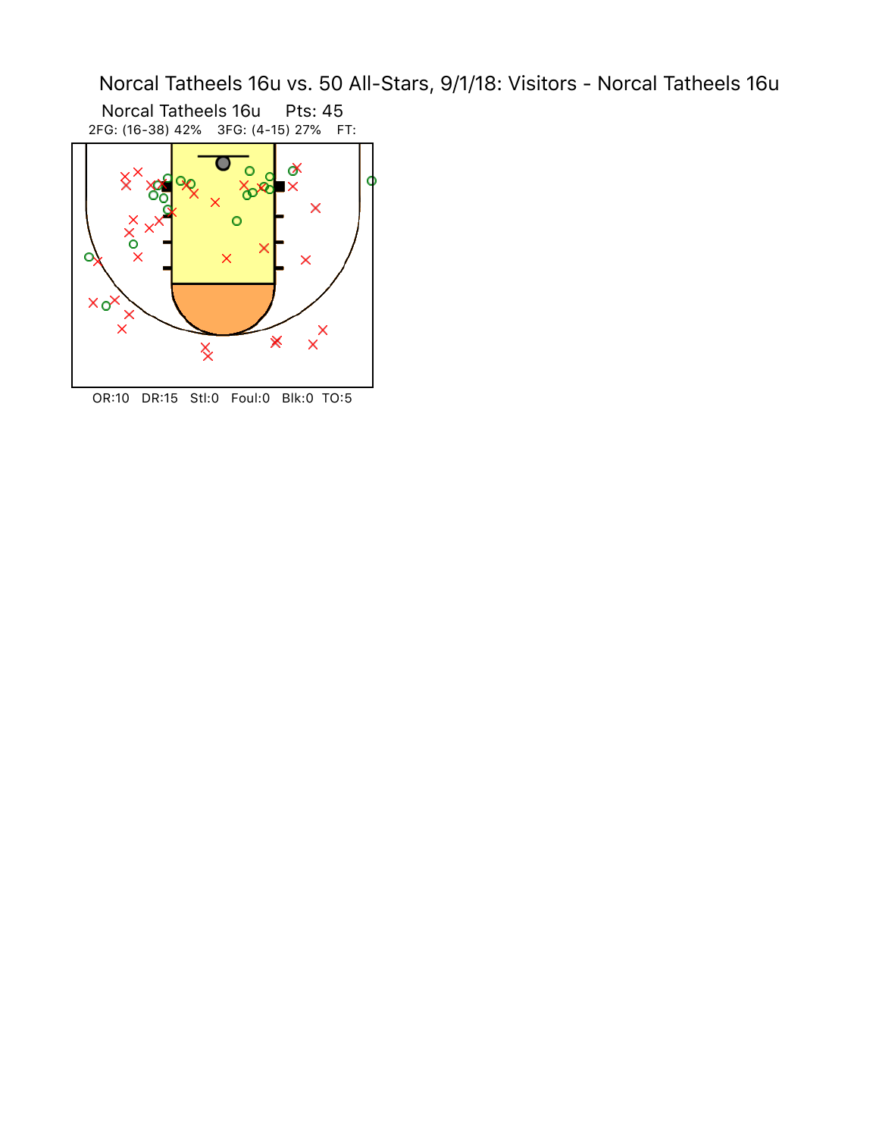Norcal Tatheels 16u vs. 50 All-Stars, 9/1/18: Visitors - Norcal Tatheels 16u

Norcal Tatheels 16u Pts: 45 2FG: (16-38) 42% 3FG: (4-15) 27% FT:



OR:10 DR:15 Stl:0 Foul:0 Blk:0 TO:5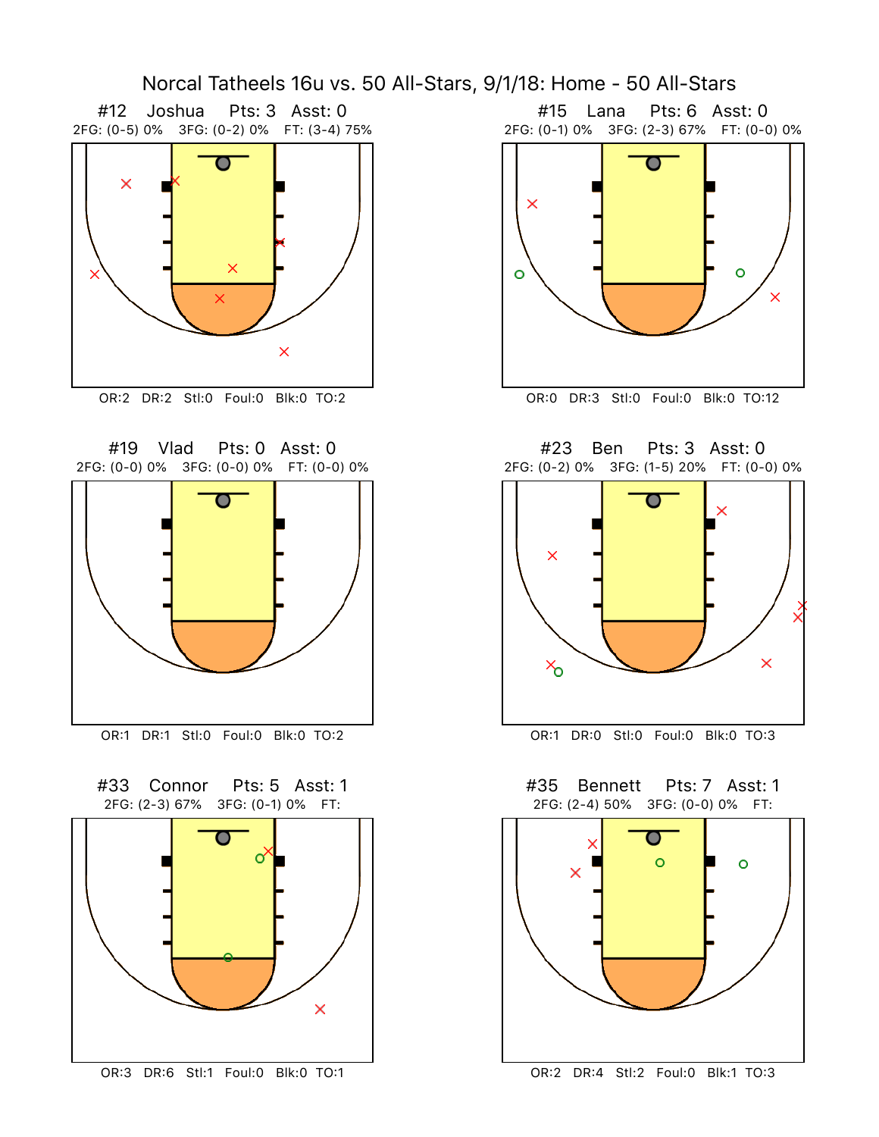